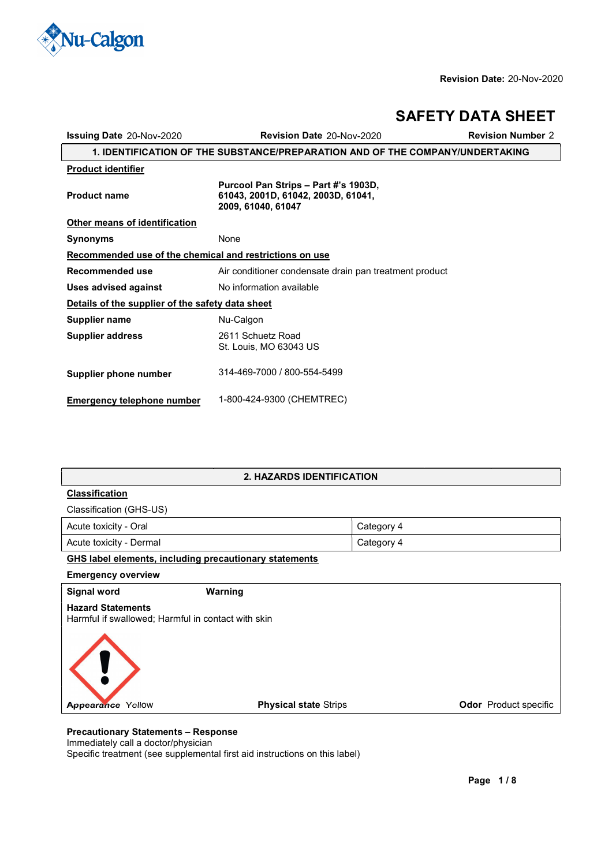

 $\overline{1}$ 

# **SAFETY DATA SHEET**

| <b>Issuing Date 20-Nov-2020</b>                                               | Revision Date 20-Nov-2020                                                                        | <b>Revision Number 2</b> |  |
|-------------------------------------------------------------------------------|--------------------------------------------------------------------------------------------------|--------------------------|--|
| 1. IDENTIFICATION OF THE SUBSTANCE/PREPARATION AND OF THE COMPANY/UNDERTAKING |                                                                                                  |                          |  |
| <b>Product identifier</b>                                                     |                                                                                                  |                          |  |
| <b>Product name</b>                                                           | Purcool Pan Strips - Part #'s 1903D,<br>61043, 2001D, 61042, 2003D, 61041,<br>2009, 61040, 61047 |                          |  |
| Other means of identification                                                 |                                                                                                  |                          |  |
| <b>Synonyms</b>                                                               | None                                                                                             |                          |  |
| Recommended use of the chemical and restrictions on use                       |                                                                                                  |                          |  |
| Recommended use                                                               | Air conditioner condensate drain pan treatment product                                           |                          |  |
| <b>Uses advised against</b>                                                   | No information available                                                                         |                          |  |
| Details of the supplier of the safety data sheet                              |                                                                                                  |                          |  |
| Supplier name                                                                 | Nu-Calgon                                                                                        |                          |  |
| <b>Supplier address</b>                                                       | 2611 Schuetz Road<br>St. Louis, MO 63043 US                                                      |                          |  |
| Supplier phone number                                                         | 314-469-7000 / 800-554-5499                                                                      |                          |  |
| <b>Emergency telephone number</b>                                             | 1-800-424-9300 (CHEMTREC)                                                                        |                          |  |

# **2. HAZARDS IDENTIFICATION**

# **Classification**

Classification (GHS-US)

| Acute toxicity - Oral   | Category 4 |
|-------------------------|------------|
| Acute toxicity - Dermal | Category 4 |

# **GHS label elements, including precautionary statements**

**Emergency overview** 

**Signal word Warning Hazard Statements** Harmful if swallowed; Harmful in contact with skin



# **Precautionary Statements - Response**

Immediately call a doctor/physician

Specific treatment (see supplemental first aid instructions on this label)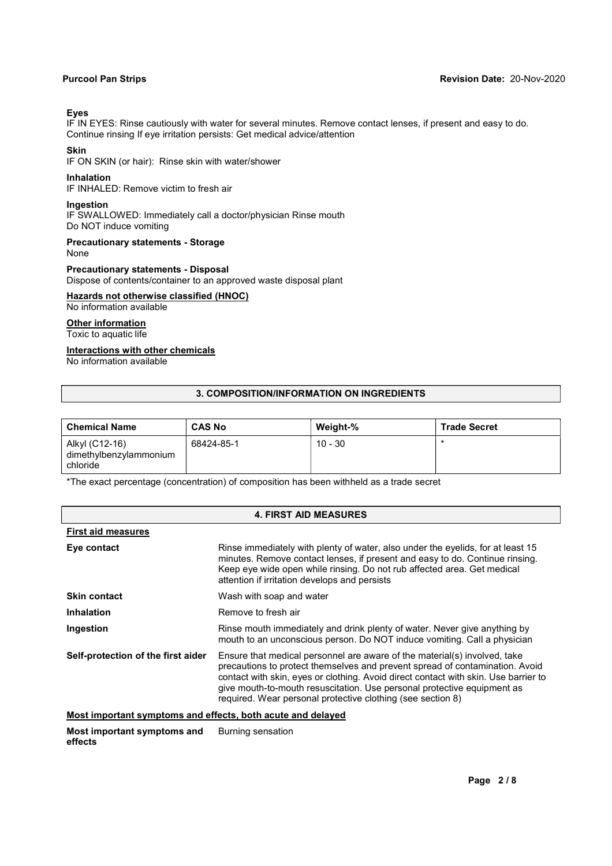# **E\es**

IF IN EYES: Rinse cautiously with water for several minutes. Remove contact lenses, if present and easy to do. Continue rinsing If eye irritation persists: Get medical advice/attention

# **Skin**

IF ON SKIN (or hair): Rinse skin with water/shower

# **Inhalation**

IF INHALED: Remove victim to fresh air

# **Ingestion**

IF SWALLOWED: Immediately call a doctor/physician Rinse mouth Do NOT induce vomiting

# **Precautionary statements - Storage**

None

# **Precautionary statements - Disposal**

Dispose of contents/container to an approved waste disposal plant

# **Hazards not otherwise classified (HNOC)**

No information aYailable

#### **Other information**  Toxic to aquatic life

**Interactions with other chemicals** 

No information aYailable

# **3. COMPOSITION/INFORMATION ON INGREDIENTS**

| <b>Chemical Name</b>                                 | <b>CAS No</b> | Weight-%  | <b>Trade Secret</b> |
|------------------------------------------------------|---------------|-----------|---------------------|
| Alkyl (C12-16)<br>dimethylbenzylammonium<br>chloride | 68424-85-1    | $10 - 30$ |                     |

\*The exact percentage (concentration) of composition has been withheld as a trade secret

| <b>4. FIRST AID MEASURES</b>       |                                                                                                                                                                                                                                                                                                                                                                                            |  |
|------------------------------------|--------------------------------------------------------------------------------------------------------------------------------------------------------------------------------------------------------------------------------------------------------------------------------------------------------------------------------------------------------------------------------------------|--|
| <b>First aid measures</b>          |                                                                                                                                                                                                                                                                                                                                                                                            |  |
| Eye contact                        | Rinse immediately with plenty of water, also under the eyelids, for at least 15<br>minutes. Remove contact lenses, if present and easy to do. Continue rinsing.<br>Keep eye wide open while rinsing. Do not rub affected area. Get medical<br>attention if irritation develops and persists                                                                                                |  |
| <b>Skin contact</b>                | Wash with soap and water                                                                                                                                                                                                                                                                                                                                                                   |  |
| <b>Inhalation</b>                  | Remove to fresh air                                                                                                                                                                                                                                                                                                                                                                        |  |
| Ingestion                          | Rinse mouth immediately and drink plenty of water. Never give anything by<br>mouth to an unconscious person. Do NOT induce vomiting. Call a physician                                                                                                                                                                                                                                      |  |
| Self-protection of the first aider | Ensure that medical personnel are aware of the material(s) involved, take<br>precautions to protect themselves and prevent spread of contamination. Avoid<br>contact with skin, eyes or clothing. Avoid direct contact with skin. Use barrier to<br>give mouth-to-mouth resuscitation. Use personal protective equipment as<br>required. Wear personal protective clothing (see section 8) |  |

# **Most important symptoms and effects, both acute and delayed**

**Most important symptoms and effects** Burning sensation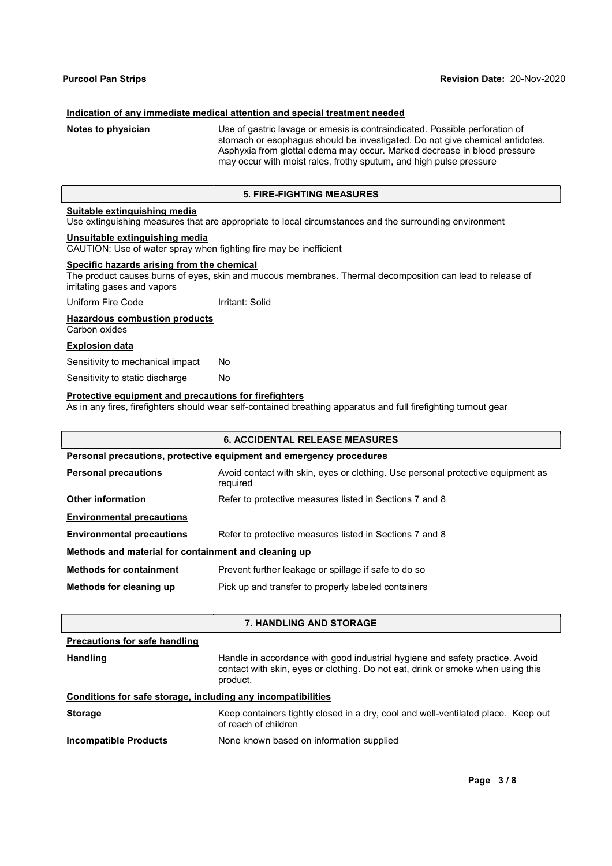### **Indication of any immediate medical attention and special treatment needed**

**Notes to physician** Use of gastric lavage or emesis is contraindicated. Possible perforation of stomach or esophagus should be investigated. Do not give chemical antidotes. Asphyxia from glottal edema may occur. Marked decrease in blood pressure may occur with moist rales, frothy sputum, and high pulse pressure

# **5. FIRE-FIGHTING MEASURES**

# **Suitable extinguishing media**

Use extinguishing measures that are appropriate to local circumstances and the surrounding environment

# **Unsuitable extinguishing media**

CAUTION: Use of water spray when fighting fire may be inefficient

# **Specific hazards arising from the chemical**

The product causes burns of eyes, skin and mucous membranes. Thermal decomposition can lead to release of irritating gases and Yapors

Uniform Fire Code Irritant: Solid

#### **Hazardous combustion products**

**Carbon oxides** 

# **Explosion data**

Sensitivity to mechanical impact No

Sensitivity to static discharge No

### **Protective equipment and precautions for firefighters**

As in any fires, firefighters should wear self-contained breathing apparatus and full firefighting turnout gear

| <b>6. ACCIDENTAL RELEASE MEASURES</b>                |                                                                                             |  |  |
|------------------------------------------------------|---------------------------------------------------------------------------------------------|--|--|
|                                                      | Personal precautions, protective equipment and emergency procedures                         |  |  |
| <b>Personal precautions</b>                          | Avoid contact with skin, eyes or clothing. Use personal protective equipment as<br>required |  |  |
| Other information                                    | Refer to protective measures listed in Sections 7 and 8                                     |  |  |
| <b>Environmental precautions</b>                     |                                                                                             |  |  |
| <b>Environmental precautions</b>                     | Refer to protective measures listed in Sections 7 and 8                                     |  |  |
| Methods and material for containment and cleaning up |                                                                                             |  |  |
| <b>Methods for containment</b>                       | Prevent further leakage or spillage if safe to do so                                        |  |  |
| Methods for cleaning up                              | Pick up and transfer to properly labeled containers                                         |  |  |
|                                                      |                                                                                             |  |  |

# **7. HANDLING AND STORAGE**

| <b>Precautions for safe handling</b>                         |                                                                                                                                                                             |
|--------------------------------------------------------------|-----------------------------------------------------------------------------------------------------------------------------------------------------------------------------|
| <b>Handling</b>                                              | Handle in accordance with good industrial hygiene and safety practice. Avoid<br>contact with skin, eyes or clothing. Do not eat, drink or smoke when using this<br>product. |
| Conditions for safe storage, including any incompatibilities |                                                                                                                                                                             |
| <b>Storage</b>                                               | Keep containers tightly closed in a dry, cool and well-ventilated place. Keep out<br>of reach of children                                                                   |
| Incompatible Products                                        | None known based on information supplied                                                                                                                                    |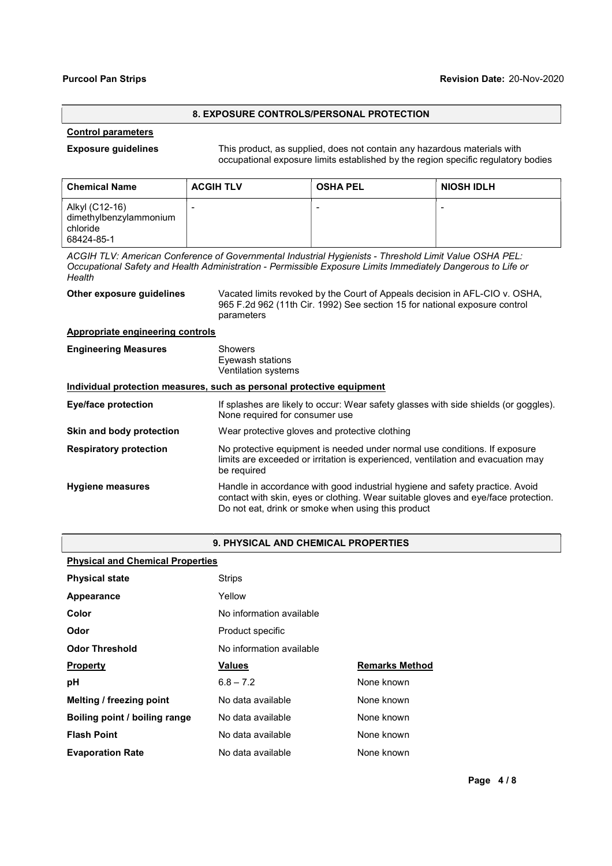# **8. EXPOSURE CONTROLS/PERSONAL PROTECTION**

# **Control parameters**

**Exposure guidelines** This product, as supplied, does not contain any hazardous materials with occupational exposure limits established by the region specific regulatory bodies

| <b>Chemical Name</b>                                               | <b>ACGIH TLV</b>         | <b>OSHA PEL</b> | <b>NIOSH IDLH</b> |
|--------------------------------------------------------------------|--------------------------|-----------------|-------------------|
| Alkyl (C12-16)<br>dimethylbenzylammonium<br>chloride<br>68424-85-1 | $\overline{\phantom{a}}$ |                 |                   |

ACGIH TLV: American Conference of Governmental Industrial Hygienists - Threshold Limit Value OSHA PEL: *Occupational Safety and Health Administration - Permissible Exposure Limits Immediately Dangerous to Life or Health* 

| Other exposure guidelines | Vacated limits revoked by the Court of Appeals decision in AFL-CIO v. OSHA, |
|---------------------------|-----------------------------------------------------------------------------|
|                           | 965 F.2d 962 (11th Cir. 1992) See section 15 for national exposure control  |
|                           | parameters                                                                  |

# **Appropriate engineering controls**

| <b>Engineering Measures</b>   | <b>Showers</b><br>Eyewash stations<br><b>Ventilation systems</b>                                                                                                                                                         |
|-------------------------------|--------------------------------------------------------------------------------------------------------------------------------------------------------------------------------------------------------------------------|
|                               | Individual protection measures, such as personal protective equipment                                                                                                                                                    |
| <b>Eye/face protection</b>    | If splashes are likely to occur: Wear safety glasses with side shields (or goggles).<br>None required for consumer use                                                                                                   |
| Skin and body protection      | Wear protective gloves and protective clothing                                                                                                                                                                           |
| <b>Respiratory protection</b> | No protective equipment is needed under normal use conditions. If exposure<br>limits are exceeded or irritation is experienced, ventilation and evacuation may<br>be required                                            |
| <b>Hygiene measures</b>       | Handle in accordance with good industrial hygiene and safety practice. Avoid<br>contact with skin, eyes or clothing. Wear suitable gloves and eye/face protection.<br>Do not eat, drink or smoke when using this product |

# **9. PHYSICAL AND CHEMICAL PROPERTIES**

# **Physical and Chemical Properties**

| <b>Physical state</b>         | <b>Strips</b>            |                       |  |
|-------------------------------|--------------------------|-----------------------|--|
| Appearance                    | Yellow                   |                       |  |
| Color                         | No information available |                       |  |
| Odor                          | Product specific         |                       |  |
| <b>Odor Threshold</b>         | No information available |                       |  |
| <b>Property</b>               | <b>Values</b>            | <b>Remarks Method</b> |  |
| рH                            | $6.8 - 7.2$              | None known            |  |
| Melting / freezing point      | No data available        | None known            |  |
| Boiling point / boiling range | No data available        | None known            |  |
| <b>Flash Point</b>            | No data available        | None known            |  |
| <b>Evaporation Rate</b>       | No data available        | None known            |  |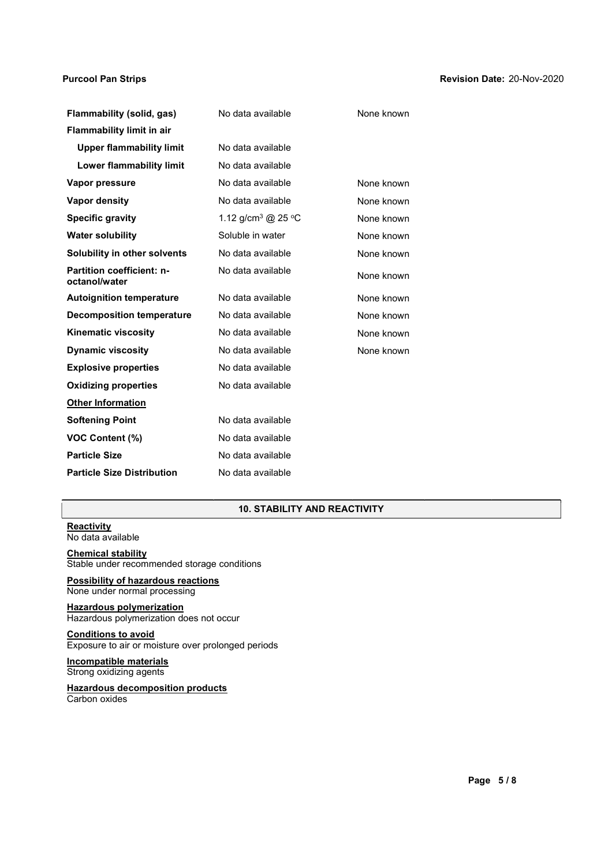#### **Purcool Pan Strips ReYision Date:** 09-NoY-2017 20-Nov-2020

| Flammability (solid, gas)                         | No data available              | None known |
|---------------------------------------------------|--------------------------------|------------|
| <b>Flammability limit in air</b>                  |                                |            |
| <b>Upper flammability limit</b>                   | No data available              |            |
| Lower flammability limit                          | No data available              |            |
| Vapor pressure                                    | No data available              | None known |
| <b>Vapor density</b>                              | No data available              | None known |
| <b>Specific gravity</b>                           | 1.12 g/cm <sup>3</sup> @ 25 °C | None known |
| <b>Water solubility</b>                           | Soluble in water               | None known |
| Solubility in other solvents                      | No data available              | None known |
| <b>Partition coefficient: n-</b><br>octanol/water | No data available              | None known |
| <b>Autoignition temperature</b>                   | No data available              | None known |
| <b>Decomposition temperature</b>                  | No data available              | None known |
| <b>Kinematic viscosity</b>                        | No data available              | None known |
| <b>Dynamic viscosity</b>                          | No data available              | None known |
| <b>Explosive properties</b>                       | No data available              |            |
| <b>Oxidizing properties</b>                       | No data available              |            |
| <b>Other Information</b>                          |                                |            |
| <b>Softening Point</b>                            | No data available              |            |
| <b>VOC Content (%)</b>                            | No data available              |            |
| <b>Particle Size</b>                              | No data available              |            |
| <b>Particle Size Distribution</b>                 | No data available              |            |

# **10. STABILITY AND REACTIVITY**

#### **Reactivity** No data available

# **Chemical stability**

Stable under recommended storage conditions

# **Possibility of hazardous reactions** None under normal processing

**Hazardous polymerization** Hazardous polymerization does not occur

# **Conditions to aYoid**

Exposure to air or moisture over prolonged periods

# **Incompatible materials**  Strong oxidizing agents

### **Hazardous decomposition products** Carbon oxides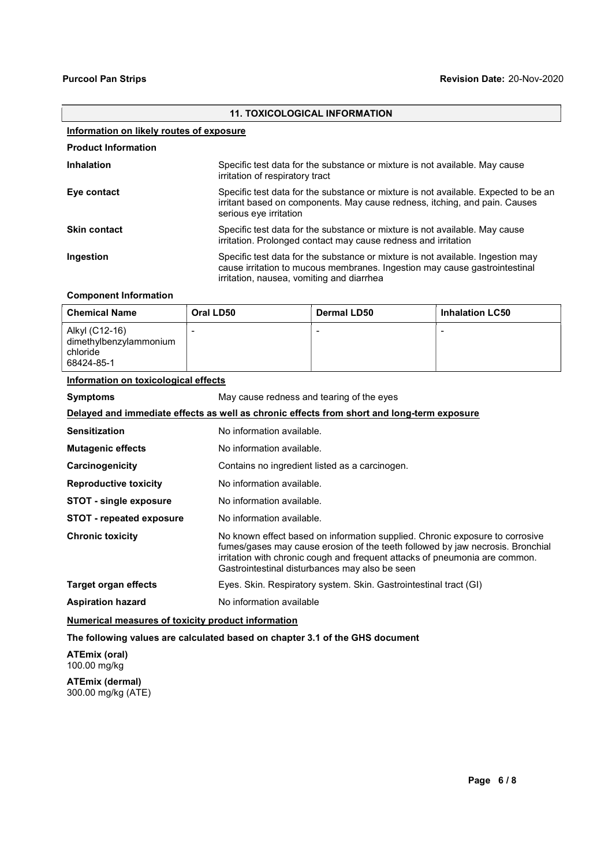# **11. TOXICOLOGICAL INFORMATION Information on likely routes of exposure Product Information Inhalation** Specific test data for the substance or mixture is not available. May cause irritation of respiratory tract **Eye contact** Specific test data for the substance or mixture is not available. Expected to be an irritant based on components. May cause redness, itching, and pain. Causes serious eve irritation **Skin contact** Specific test data for the substance or mixture is not available. May cause irritation. Prolonged contact may cause redness and irritation **Ingestion Specific test data for the substance or mixture is not available. Ingestion may** cause irritation to mucous membranes. Ingestion may cause gastrointestinal irritation, nausea, Yomiting and diarrhea

# **Component Information**

| <b>Chemical Name</b>                                               | Oral LD50 | <b>Dermal LD50</b> | <b>Inhalation LC50</b> |
|--------------------------------------------------------------------|-----------|--------------------|------------------------|
| Alkyl (C12-16)<br>dimethylbenzylammonium<br>chloride<br>68424-85-1 | -         |                    |                        |

## **Information on toxicological effects**

| <b>Symptoms</b>                                                                            | May cause redness and tearing of the eyes                                                                                                                                                                                                                                                       |  |  |  |
|--------------------------------------------------------------------------------------------|-------------------------------------------------------------------------------------------------------------------------------------------------------------------------------------------------------------------------------------------------------------------------------------------------|--|--|--|
| Delayed and immediate effects as well as chronic effects from short and long-term exposure |                                                                                                                                                                                                                                                                                                 |  |  |  |
| <b>Sensitization</b>                                                                       | No information available.                                                                                                                                                                                                                                                                       |  |  |  |
| <b>Mutagenic effects</b>                                                                   | No information available.                                                                                                                                                                                                                                                                       |  |  |  |
| Carcinogenicity                                                                            | Contains no ingredient listed as a carcinogen.                                                                                                                                                                                                                                                  |  |  |  |
| <b>Reproductive toxicity</b>                                                               | No information available.                                                                                                                                                                                                                                                                       |  |  |  |
| STOT - single exposure                                                                     | No information available.                                                                                                                                                                                                                                                                       |  |  |  |
| <b>STOT</b> - repeated exposure                                                            | No information available.                                                                                                                                                                                                                                                                       |  |  |  |
| <b>Chronic toxicity</b>                                                                    | No known effect based on information supplied. Chronic exposure to corrosive<br>fumes/gases may cause erosion of the teeth followed by jaw necrosis. Bronchial<br>irritation with chronic cough and frequent attacks of pneumonia are common.<br>Gastrointestinal disturbances may also be seen |  |  |  |
| Target organ effects                                                                       | Eyes. Skin. Respiratory system. Skin. Gastrointestinal tract (GI)                                                                                                                                                                                                                               |  |  |  |
| <b>Aspiration hazard</b>                                                                   | No information available                                                                                                                                                                                                                                                                        |  |  |  |

### **Numerical measures of toxicity product information**

# The following values are calculated based on chapter 3.1 of the GHS document

**ATEmix (oral)** 100.00 mg/kg

**ATEmix (dermal)** 300.00 mg/kg (ATE)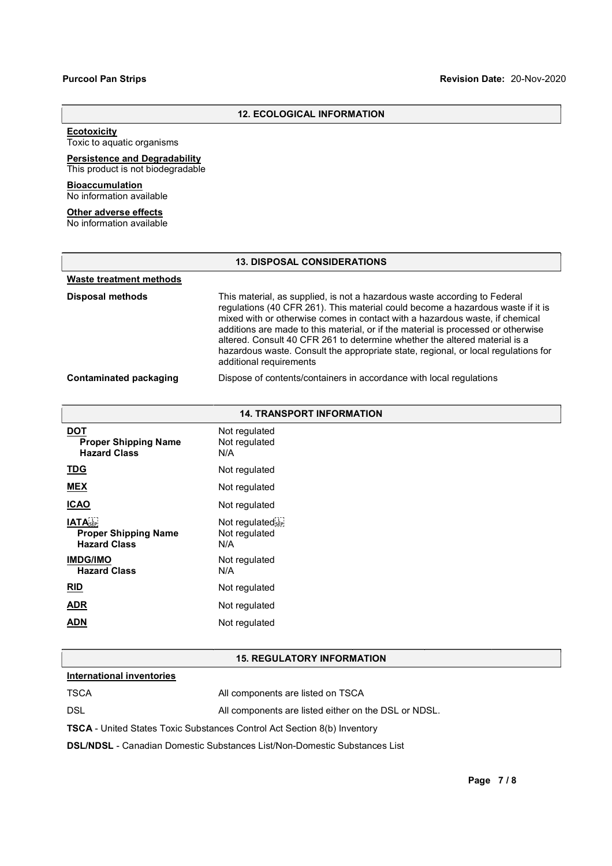# **12. ECOLOGICAL INFORMATION**

# **Ecotoxicity**

Toxic to aquatic organisms

#### **Persistence and Degradabilit\**  This product is not biodegradable

### **Bioaccumulation**  No information available

#### **Other adverse effects** No information aYailable

## **13. DISPOSAL CONSIDERATIONS**

| Waste treatment methods       |                                                                                                                                                                                                                                                                                                                                                                                                                                                                                                                                  |
|-------------------------------|----------------------------------------------------------------------------------------------------------------------------------------------------------------------------------------------------------------------------------------------------------------------------------------------------------------------------------------------------------------------------------------------------------------------------------------------------------------------------------------------------------------------------------|
| <b>Disposal methods</b>       | This material, as supplied, is not a hazardous waste according to Federal<br>regulations (40 CFR 261). This material could become a hazardous waste if it is<br>mixed with or otherwise comes in contact with a hazardous waste, if chemical<br>additions are made to this material, or if the material is processed or otherwise<br>altered. Consult 40 CFR 261 to determine whether the altered material is a<br>hazardous waste. Consult the appropriate state, regional, or local regulations for<br>additional requirements |
| <b>Contaminated packaging</b> | Dispose of contents/containers in accordance with local regulations                                                                                                                                                                                                                                                                                                                                                                                                                                                              |

| <b>14. TRANSPORT INFORMATION</b>                                                 |                                           |  |  |  |
|----------------------------------------------------------------------------------|-------------------------------------------|--|--|--|
| <b>DOT</b><br><b>Proper Shipping Name</b><br><b>Hazard Class</b>                 | Not regulated<br>Not regulated<br>N/A     |  |  |  |
| <b>TDG</b>                                                                       | Not regulated                             |  |  |  |
| <b>MEX</b>                                                                       | Not regulated                             |  |  |  |
| <b>ICAO</b>                                                                      | Not regulated                             |  |  |  |
| <b>IATA</b> <sub>SEP</sub><br><b>Proper Shipping Name</b><br><b>Hazard Class</b> | Not regulated sep<br>Not regulated<br>N/A |  |  |  |
| <b>IMDG/IMO</b><br><b>Hazard Class</b>                                           | Not regulated<br>N/A                      |  |  |  |
| RID                                                                              | Not regulated                             |  |  |  |
| <b>ADR</b>                                                                       | Not regulated                             |  |  |  |
| <b>ADN</b>                                                                       | Not regulated                             |  |  |  |

## **15. REGULATORY INFORMATION**

# **International inventories**

| TSCA                                                                            | All components are listed on TSCA                    |  |  |  |  |
|---------------------------------------------------------------------------------|------------------------------------------------------|--|--|--|--|
| DSL                                                                             | All components are listed either on the DSL or NDSL. |  |  |  |  |
| <b>TSCA</b> - United States Toxic Substances Control Act Section 8(b) Inventory |                                                      |  |  |  |  |

**DSL/NDSL** - Canadian Domestic Substances List/Non-Domestic Substances List